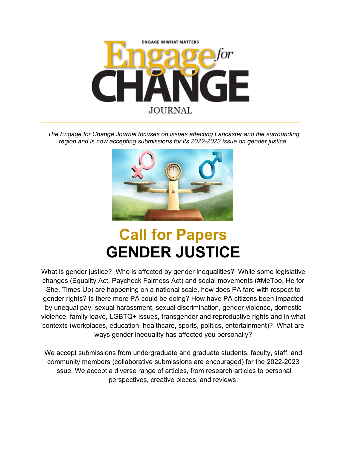

*The Engage for Change Journal focuses on issues affecting Lancaster and the surrounding region and is now accepting submissions for its 2022-2023 issue on gender justice.*



## **Call for Papers GENDER JUSTICE**

What is gender justice? Who is affected by gender inequalities? While some legislative changes (Equality Act, Paycheck Fairness Act) and social movements (#MeToo, He for She, Times Up) are happening on a national scale, how does PA fare with respect to gender rights? Is there more PA could be doing? How have PA citizens been impacted by unequal pay, sexual harassment, sexual discrimination, gender violence, domestic violence, family leave, LGBTQ+ issues, transgender and reproductive rights and in what contexts (workplaces, education, healthcare, sports, politics, entertainment)? What are ways gender inequality has affected you personally?

We accept submissions from undergraduate and graduate students, faculty, staff, and community members (collaborative submissions are encouraged) for the 2022-2023 issue. We accept a diverse range of articles, from research articles to personal perspectives, creative pieces, and reviews: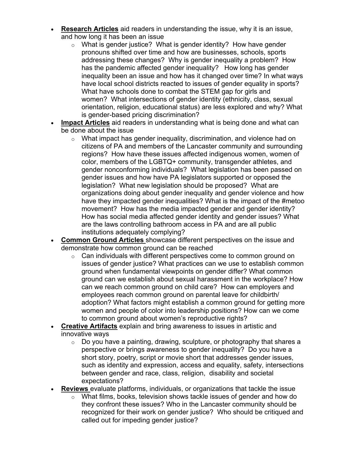- **Research Articles** aid readers in understanding the issue, why it is an issue, and how long it has been an issue
	- o What is gender justice? What is gender identity? How have gender pronouns shifted over time and how are businesses, schools, sports addressing these changes? Why is gender inequality a problem? How has the pandemic affected gender inequality? How long has gender inequality been an issue and how has it changed over time? In what ways have local school districts reacted to issues of gender equality in sports? What have schools done to combat the STEM gap for girls and women? What intersections of gender identity (ethnicity, class, sexual orientation, religion, educational status) are less explored and why? What is gender-based pricing discrimination?
- **Impact Articles** aid readers in understanding what is being done and what can be done about the issue
	- o What impact has gender inequality, discrimination, and violence had on citizens of PA and members of the Lancaster community and surrounding regions? How have these issues affected indigenous women, women of color, members of the LGBTQ+ community, transgender athletes, and gender nonconforming individuals? What legislation has been passed on gender issues and how have PA legislators supported or opposed the legislation? What new legislation should be proposed? What are organizations doing about gender inequality and gender violence and how have they impacted gender inequalities? What is the impact of the #metoo movement? How has the media impacted gender and gender identity? How has social media affected gender identity and gender issues? What are the laws controlling bathroom access in PA and are all public institutions adequately complying?
- **Common Ground Articles** showcase different perspectives on the issue and demonstrate how common ground can be reached
	- $\circ$  Can individuals with different perspectives come to common ground on issues of gender justice? What practices can we use to establish common ground when fundamental viewpoints on gender differ? What common ground can we establish about sexual harassment in the workplace? How can we reach common ground on child care? How can employers and employees reach common ground on parental leave for childbirth/ adoption? What factors might establish a common ground for getting more women and people of color into leadership positions? How can we come to common ground about women's reproductive rights?
- **Creative Artifacts** explain and bring awareness to issues in artistic and innovative ways
	- $\circ$  Do you have a painting, drawing, sculpture, or photography that shares a perspective or brings awareness to gender inequality? Do you have a short story, poetry, script or movie short that addresses gender issues, such as identity and expression, access and equality, safety, intersections between gender and race, class, religion, disability and societal expectations?
- **Reviews** evaluate platforms, individuals, or organizations that tackle the issue
	- o What films, books, television shows tackle issues of gender and how do they confront these issues? Who in the Lancaster community should be recognized for their work on gender justice? Who should be critiqued and called out for impeding gender justice?